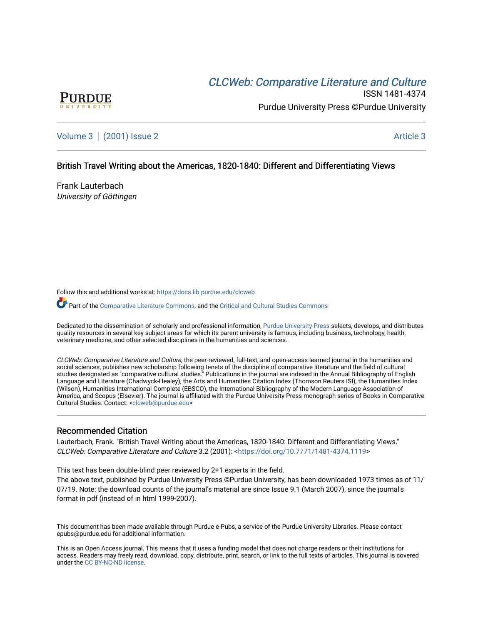# CLCW[eb: Comparative Liter](https://docs.lib.purdue.edu/clcweb)ature and Culture



ISSN 1481-4374 Purdue University Press ©Purdue University

[Volume 3](https://docs.lib.purdue.edu/clcweb/vol3) | [\(2001\) Issue 2](https://docs.lib.purdue.edu/clcweb/vol3/iss2) Article 3

# British Travel Writing about the Americas, 1820-1840: Different and Differentiating Views

Frank Lauterbach University of Göttingen

Follow this and additional works at: [https://docs.lib.purdue.edu/clcweb](https://docs.lib.purdue.edu/clcweb?utm_source=docs.lib.purdue.edu%2Fclcweb%2Fvol3%2Fiss2%2F3&utm_medium=PDF&utm_campaign=PDFCoverPages)

Part of the [Comparative Literature Commons,](http://network.bepress.com/hgg/discipline/454?utm_source=docs.lib.purdue.edu%2Fclcweb%2Fvol3%2Fiss2%2F3&utm_medium=PDF&utm_campaign=PDFCoverPages) and the [Critical and Cultural Studies Commons](http://network.bepress.com/hgg/discipline/328?utm_source=docs.lib.purdue.edu%2Fclcweb%2Fvol3%2Fiss2%2F3&utm_medium=PDF&utm_campaign=PDFCoverPages) 

Dedicated to the dissemination of scholarly and professional information, [Purdue University Press](http://www.thepress.purdue.edu/) selects, develops, and distributes quality resources in several key subject areas for which its parent university is famous, including business, technology, health, veterinary medicine, and other selected disciplines in the humanities and sciences.

CLCWeb: Comparative Literature and Culture, the peer-reviewed, full-text, and open-access learned journal in the humanities and social sciences, publishes new scholarship following tenets of the discipline of comparative literature and the field of cultural studies designated as "comparative cultural studies." Publications in the journal are indexed in the Annual Bibliography of English Language and Literature (Chadwyck-Healey), the Arts and Humanities Citation Index (Thomson Reuters ISI), the Humanities Index (Wilson), Humanities International Complete (EBSCO), the International Bibliography of the Modern Language Association of America, and Scopus (Elsevier). The journal is affiliated with the Purdue University Press monograph series of Books in Comparative Cultural Studies. Contact: [<clcweb@purdue.edu](mailto:clcweb@purdue.edu)>

## Recommended Citation

Lauterbach, Frank. "British Travel Writing about the Americas, 1820-1840: Different and Differentiating Views." CLCWeb: Comparative Literature and Culture 3.2 (2001): <[https://doi.org/10.7771/1481-4374.1119>](https://doi.org/10.7771/1481-4374.1119)

This text has been double-blind peer reviewed by 2+1 experts in the field.

The above text, published by Purdue University Press ©Purdue University, has been downloaded 1973 times as of 11/ 07/19. Note: the download counts of the journal's material are since Issue 9.1 (March 2007), since the journal's format in pdf (instead of in html 1999-2007).

This document has been made available through Purdue e-Pubs, a service of the Purdue University Libraries. Please contact epubs@purdue.edu for additional information.

This is an Open Access journal. This means that it uses a funding model that does not charge readers or their institutions for access. Readers may freely read, download, copy, distribute, print, search, or link to the full texts of articles. This journal is covered under the [CC BY-NC-ND license.](https://creativecommons.org/licenses/by-nc-nd/4.0/)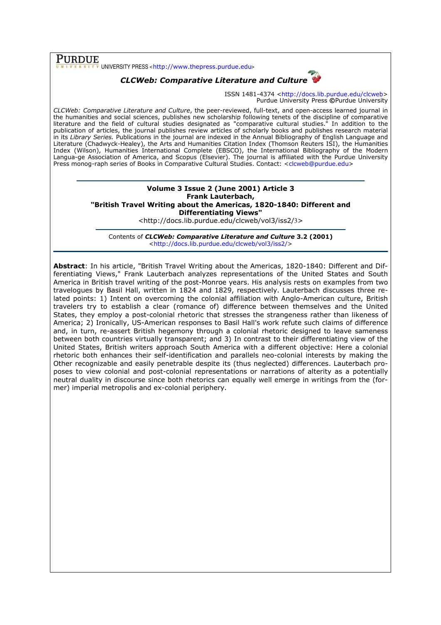# Purdue

UNIVERSITY PRESS <http://www.thepress.purdue.edu>

# CLCWeb: Comparative Literature and Culture

ISSN 1481-4374 <http://docs.lib.purdue.edu/clcweb> Purdue University Press ©Purdue University

CLCWeb: Comparative Literature and Culture, the peer-reviewed, full-text, and open-access learned journal in the humanities and social sciences, publishes new scholarship following tenets of the discipline of comparative literature and the field of cultural studies designated as "comparative cultural studies." In addition to the publication of articles, the journal publishes review articles of scholarly books and publishes research material in its Library Series. Publications in the journal are indexed in the Annual Bibliography of English Language and Literature (Chadwyck-Healey), the Arts and Humanities Citation Index (Thomson Reuters ISI), the Humanities Index (Wilson), Humanities International Complete (EBSCO), the International Bibliography of the Modern Langua-ge Association of America, and Scopus (Elsevier). The journal is affiliated with the Purdue University Press monog-raph series of Books in Comparative Cultural Studies. Contact: <clcweb@purdue.edu>

## Volume 3 Issue 2 (June 2001) Article 3 Frank Lauterbach, "British Travel Writing about the Americas, 1820-1840: Different and Differentiating Views"

<http://docs.lib.purdue.edu/clcweb/vol3/iss2/3>

Contents of CLCWeb: Comparative Literature and Culture 3.2 (2001) <http://docs.lib.purdue.edu/clcweb/vol3/iss2/>

Abstract: In his article, "British Travel Writing about the Americas, 1820-1840: Different and Differentiating Views," Frank Lauterbach analyzes representations of the United States and South America in British travel writing of the post-Monroe years. His analysis rests on examples from two travelogues by Basil Hall, written in 1824 and 1829, respectively. Lauterbach discusses three related points: 1) Intent on overcoming the colonial affiliation with Anglo-American culture, British travelers try to establish a clear (romance of) difference between themselves and the United States, they employ a post-colonial rhetoric that stresses the strangeness rather than likeness of America; 2) Ironically, US-American responses to Basil Hall's work refute such claims of difference and, in turn, re-assert British hegemony through a colonial rhetoric designed to leave sameness between both countries virtually transparent; and 3) In contrast to their differentiating view of the United States, British writers approach South America with a different objective: Here a colonial rhetoric both enhances their self-identification and parallels neo-colonial interests by making the Other recognizable and easily penetrable despite its (thus neglected) differences. Lauterbach proposes to view colonial and post-colonial representations or narrations of alterity as a potentially neutral duality in discourse since both rhetorics can equally well emerge in writings from the (former) imperial metropolis and ex-colonial periphery.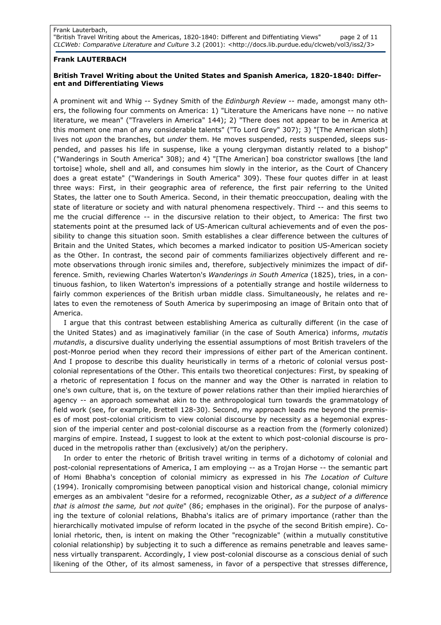## Frank LAUTERBACH

# British Travel Writing about the United States and Spanish America, 1820-1840: Different and Differentiating Views

A prominent wit and Whig -- Sydney Smith of the *Edinburgh Review* -- made, amongst many others, the following four comments on America: 1) "Literature the Americans have none -- no native literature, we mean" ("Travelers in America" 144); 2) "There does not appear to be in America at this moment one man of any considerable talents" ("To Lord Grey" 307); 3) "[The American sloth] lives not upon the branches, but under them. He moves suspended, rests suspended, sleeps suspended, and passes his life in suspense, like a young clergyman distantly related to a bishop" ("Wanderings in South America" 308); and 4) "[The American] boa constrictor swallows [the land tortoise] whole, shell and all, and consumes him slowly in the interior, as the Court of Chancery does a great estate" ("Wanderings in South America" 309). These four quotes differ in at least three ways: First, in their geographic area of reference, the first pair referring to the United States, the latter one to South America. Second, in their thematic preoccupation, dealing with the state of literature or society and with natural phenomena respectively. Third -- and this seems to me the crucial difference -- in the discursive relation to their object, to America: The first two statements point at the presumed lack of US-American cultural achievements and of even the possibility to change this situation soon. Smith establishes a clear difference between the cultures of Britain and the United States, which becomes a marked indicator to position US-American society as the Other. In contrast, the second pair of comments familiarizes objectively different and remote observations through ironic similes and, therefore, subjectively minimizes the impact of difference. Smith, reviewing Charles Waterton's Wanderings in South America (1825), tries, in a continuous fashion, to liken Waterton's impressions of a potentially strange and hostile wilderness to fairly common experiences of the British urban middle class. Simultaneously, he relates and relates to even the remoteness of South America by superimposing an image of Britain onto that of America.

I argue that this contrast between establishing America as culturally different (in the case of the United States) and as imaginatively familiar (in the case of South America) informs, mutatis mutandis, a discursive duality underlying the essential assumptions of most British travelers of the post-Monroe period when they record their impressions of either part of the American continent. And I propose to describe this duality heuristically in terms of a rhetoric of colonial versus postcolonial representations of the Other. This entails two theoretical conjectures: First, by speaking of a rhetoric of representation I focus on the manner and way the Other is narrated in relation to one's own culture, that is, on the texture of power relations rather than their implied hierarchies of agency -- an approach somewhat akin to the anthropological turn towards the grammatology of field work (see, for example, Brettell 128-30). Second, my approach leads me beyond the premises of most post-colonial criticism to view colonial discourse by necessity as a hegemonial expression of the imperial center and post-colonial discourse as a reaction from the (formerly colonized) margins of empire. Instead, I suggest to look at the extent to which post-colonial discourse is produced in the metropolis rather than (exclusively) at/on the periphery.

In order to enter the rhetoric of British travel writing in terms of a dichotomy of colonial and post-colonial representations of America, I am employing -- as a Trojan Horse -- the semantic part of Homi Bhabha's conception of colonial mimicry as expressed in his The Location of Culture (1994). Ironically compromising between panoptical vision and historical change, colonial mimicry emerges as an ambivalent "desire for a reformed, recognizable Other, as a subject of a difference that is almost the same, but not quite" (86; emphases in the original). For the purpose of analysing the texture of colonial relations, Bhabha's italics are of primary importance (rather than the hierarchically motivated impulse of reform located in the psyche of the second British empire). Colonial rhetoric, then, is intent on making the Other "recognizable" (within a mutually constitutive colonial relationship) by subjecting it to such a difference as remains penetrable and leaves sameness virtually transparent. Accordingly, I view post-colonial discourse as a conscious denial of such likening of the Other, of its almost sameness, in favor of a perspective that stresses difference,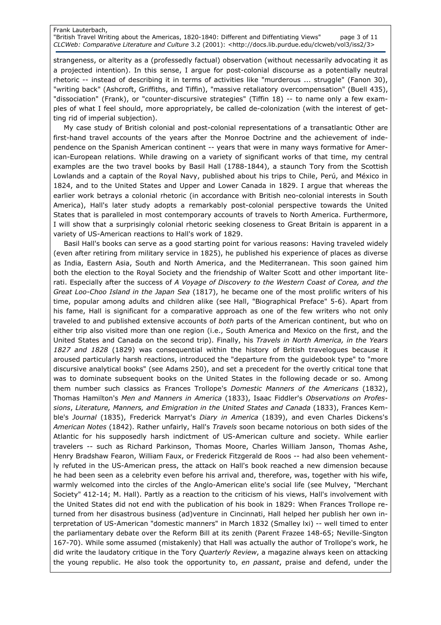## Frank Lauterbach, "British Travel Writing about the Americas, 1820-1840: Different and Diffentiating Views" page 3 of 11 CLCWeb: Comparative Literature and Culture 3.2 (2001): <http://docs.lib.purdue.edu/clcweb/vol3/iss2/3>

strangeness, or alterity as a (professedly factual) observation (without necessarily advocating it as a projected intention). In this sense, I argue for post-colonial discourse as a potentially neutral rhetoric -- instead of describing it in terms of activities like "murderous ... struggle" (Fanon 30), "writing back" (Ashcroft, Griffiths, and Tiffin), "massive retaliatory overcompensation" (Buell 435), "dissociation" (Frank), or "counter-discursive strategies" (Tiffin 18) -- to name only a few examples of what I feel should, more appropriately, be called de-colonization (with the interest of getting rid of imperial subjection).

My case study of British colonial and post-colonial representations of a transatlantic Other are first-hand travel accounts of the years after the Monroe Doctrine and the achievement of independence on the Spanish American continent -- years that were in many ways formative for American-European relations. While drawing on a variety of significant works of that time, my central examples are the two travel books by Basil Hall (1788-1844), a staunch Tory from the Scottish Lowlands and a captain of the Royal Navy, published about his trips to Chile, Perú, and México in 1824, and to the United States and Upper and Lower Canada in 1829. I argue that whereas the earlier work betrays a colonial rhetoric (in accordance with British neo-colonial interests in South America), Hall's later study adopts a remarkably post-colonial perspective towards the United States that is paralleled in most contemporary accounts of travels to North America. Furthermore, I will show that a surprisingly colonial rhetoric seeking closeness to Great Britain is apparent in a variety of US-American reactions to Hall's work of 1829.

Basil Hall's books can serve as a good starting point for various reasons: Having traveled widely (even after retiring from military service in 1825), he published his experience of places as diverse as India, Eastern Asia, South and North America, and the Mediterranean. This soon gained him both the election to the Royal Society and the friendship of Walter Scott and other important literati. Especially after the success of A Voyage of Discovery to the Western Coast of Corea, and the Great Loo-Choo Island in the Japan Sea (1817), he became one of the most prolific writers of his time, popular among adults and children alike (see Hall, "Biographical Preface" 5-6). Apart from his fame, Hall is significant for a comparative approach as one of the few writers who not only traveled to and published extensive accounts of both parts of the American continent, but who on either trip also visited more than one region (i.e., South America and Mexico on the first, and the United States and Canada on the second trip). Finally, his Travels in North America, in the Years 1827 and 1828 (1829) was consequential within the history of British travelogues because it aroused particularly harsh reactions, introduced the "departure from the guidebook type" to "more discursive analytical books" (see Adams 250), and set a precedent for the overtly critical tone that was to dominate subsequent books on the United States in the following decade or so. Among them number such classics as Frances Trollope's Domestic Manners of the Americans (1832), Thomas Hamilton's Men and Manners in America (1833), Isaac Fiddler's Observations on Professions, Literature, Manners, and Emigration in the United States and Canada (1833), Frances Kemble's Journal (1835), Frederick Marryat's Diary in America (1839), and even Charles Dickens's American Notes (1842). Rather unfairly, Hall's Travels soon became notorious on both sides of the Atlantic for his supposedly harsh indictment of US-American culture and society. While earlier travelers -- such as Richard Parkinson, Thomas Moore, Charles William Janson, Thomas Ashe, Henry Bradshaw Fearon, William Faux, or Frederick Fitzgerald de Roos -- had also been vehemently refuted in the US-American press, the attack on Hall's book reached a new dimension because he had been seen as a celebrity even before his arrival and, therefore, was, together with his wife, warmly welcomed into the circles of the Anglo-American elite's social life (see Mulvey, "Merchant Society" 412-14; M. Hall). Partly as a reaction to the criticism of his views, Hall's involvement with the United States did not end with the publication of his book in 1829: When Frances Trollope returned from her disastrous business (ad)venture in Cincinnati, Hall helped her publish her own interpretation of US-American "domestic manners" in March 1832 (Smalley lxi) -- well timed to enter the parliamentary debate over the Reform Bill at its zenith (Parent Frazee 148-65; Neville-Sington 167-70). While some assumed (mistakenly) that Hall was actually the author of Trollope's work, he did write the laudatory critique in the Tory Quarterly Review, a magazine always keen on attacking the young republic. He also took the opportunity to, en passant, praise and defend, under the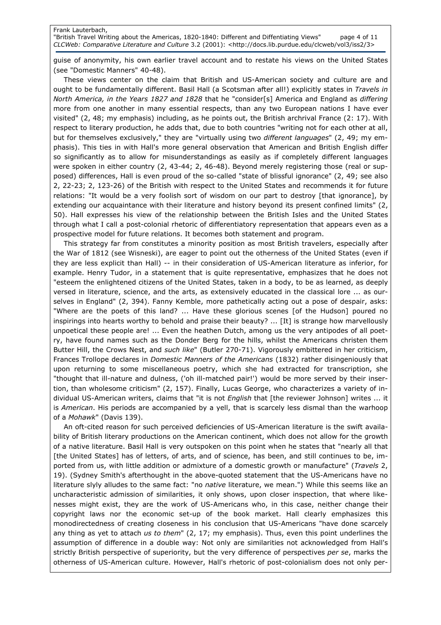## Frank Lauterbach,

"British Travel Writing about the Americas, 1820-1840: Different and Diffentiating Views" page 4 of 11 CLCWeb: Comparative Literature and Culture 3.2 (2001): <http://docs.lib.purdue.edu/clcweb/vol3/iss2/3>

guise of anonymity, his own earlier travel account and to restate his views on the United States (see "Domestic Manners" 40-48).

These views center on the claim that British and US-American society and culture are and ought to be fundamentally different. Basil Hall (a Scotsman after all!) explicitly states in Travels in North America, in the Years 1827 and 1828 that he "consider[s] America and England as differing more from one another in many essential respects, than any two European nations I have ever visited" (2, 48; my emphasis) including, as he points out, the British archrival France (2: 17). With respect to literary production, he adds that, due to both countries "writing not for each other at all, but for themselves exclusively," they are "virtually using two different languages" (2, 49; my emphasis). This ties in with Hall's more general observation that American and British English differ so significantly as to allow for misunderstandings as easily as if completely different languages were spoken in either country (2, 43-44; 2, 46-48). Beyond merely registering those (real or supposed) differences, Hall is even proud of the so-called "state of blissful ignorance" (2, 49; see also 2, 22-23; 2, 123-26) of the British with respect to the United States and recommends it for future relations: "It would be a very foolish sort of wisdom on our part to destroy [that ignorance], by extending our acquaintance with their literature and history beyond its present confined limits" (2, 50). Hall expresses his view of the relationship between the British Isles and the United States through what I call a post-colonial rhetoric of differentiatory representation that appears even as a prospective model for future relations. It becomes both statement and program.

This strategy far from constitutes a minority position as most British travelers, especially after the War of 1812 (see Wisneski), are eager to point out the otherness of the United States (even if they are less explicit than Hall) -- in their consideration of US-American literature as inferior, for example. Henry Tudor, in a statement that is quite representative, emphasizes that he does not "esteem the enlightened citizens of the United States, taken in a body, to be as learned, as deeply versed in literature, science, and the arts, as extensively educated in the classical lore ... as ourselves in England" (2, 394). Fanny Kemble, more pathetically acting out a pose of despair, asks: "Where are the poets of this land? ... Have these glorious scenes [of the Hudson] poured no inspirings into hearts worthy to behold and praise their beauty? ... [It] is strange how marvellously unpoetical these people are! ... Even the heathen Dutch, among us the very antipodes of all poetry, have found names such as the Donder Berg for the hills, whilst the Americans christen them Butter Hill, the Crows Nest, and such like" (Butler 270-71). Vigorously embittered in her criticism, Frances Trollope declares in Domestic Manners of the Americans (1832) rather disingeniously that upon returning to some miscellaneous poetry, which she had extracted for transcription, she "thought that ill-nature and dulness, ('oh ill-matched pair!') would be more served by their insertion, than wholesome criticism" (2, 157). Finally, Lucas George, who characterizes a variety of individual US-American writers, claims that "it is not *English* that [the reviewer Johnson] writes ... it is American. His periods are accompanied by a yell, that is scarcely less dismal than the warhoop of a Mohawk" (Davis 139).

An oft-cited reason for such perceived deficiencies of US-American literature is the swift availability of British literary productions on the American continent, which does not allow for the growth of a native literature. Basil Hall is very outspoken on this point when he states that "nearly all that [the United States] has of letters, of arts, and of science, has been, and still continues to be, imported from us, with little addition or admixture of a domestic growth or manufacture" (Travels 2, 19). (Sydney Smith's afterthought in the above-quoted statement that the US-Americans have no literature slyly alludes to the same fact: "no *native* literature, we mean.") While this seems like an uncharacteristic admission of similarities, it only shows, upon closer inspection, that where likenesses might exist, they are the work of US-Americans who, in this case, neither change their copyright laws nor the economic set-up of the book market. Hall clearly emphasizes this monodirectedness of creating closeness in his conclusion that US-Americans "have done scarcely any thing as yet to attach us to them"  $(2, 17;$  my emphasis). Thus, even this point underlines the assumption of difference in a double way: Not only are similarities not acknowledged from Hall's strictly British perspective of superiority, but the very difference of perspectives per se, marks the otherness of US-American culture. However, Hall's rhetoric of post-colonialism does not only per-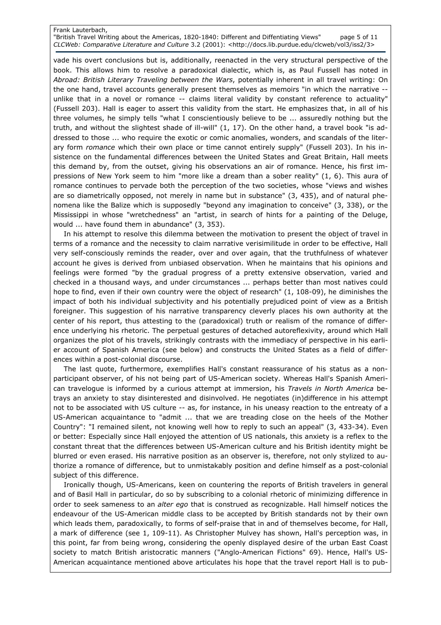# Frank Lauterbach,

"British Travel Writing about the Americas, 1820-1840: Different and Diffentiating Views" page 5 of 11 CLCWeb: Comparative Literature and Culture 3.2 (2001): <http://docs.lib.purdue.edu/clcweb/vol3/iss2/3>

vade his overt conclusions but is, additionally, reenacted in the very structural perspective of the book. This allows him to resolve a paradoxical dialectic, which is, as Paul Fussell has noted in Abroad: British Literary Traveling between the Wars, potentially inherent in all travel writing: On the one hand, travel accounts generally present themselves as memoirs "in which the narrative - unlike that in a novel or romance -- claims literal validity by constant reference to actuality" (Fussell 203). Hall is eager to assert this validity from the start. He emphasizes that, in all of his three volumes, he simply tells "what I conscientiously believe to be ... assuredly nothing but the truth, and without the slightest shade of ill-will" (1, 17). On the other hand, a travel book "is addressed to those ... who require the exotic or comic anomalies, wonders, and scandals of the literary form romance which their own place or time cannot entirely supply" (Fussell 203). In his insistence on the fundamental differences between the United States and Great Britain, Hall meets this demand by, from the outset, giving his observations an air of romance. Hence, his first impressions of New York seem to him "more like a dream than a sober reality" (1, 6). This aura of romance continues to pervade both the perception of the two societies, whose "views and wishes are so diametrically opposed, not merely in name but in substance" (3, 435), and of natural phenomena like the Balize which is supposedly "beyond any imagination to conceive" (3, 338), or the Mississippi in whose "wretchedness" an "artist, in search of hints for a painting of the Deluge, would ... have found them in abundance" (3, 353).

In his attempt to resolve this dilemma between the motivation to present the object of travel in terms of a romance and the necessity to claim narrative verisimilitude in order to be effective, Hall very self-consciously reminds the reader, over and over again, that the truthfulness of whatever account he gives is derived from unbiased observation. When he maintains that his opinions and feelings were formed "by the gradual progress of a pretty extensive observation, varied and checked in a thousand ways, and under circumstances ... perhaps better than most natives could hope to find, even if their own country were the object of research"  $(1, 108-09)$ , he diminishes the impact of both his individual subjectivity and his potentially prejudiced point of view as a British foreigner. This suggestion of his narrative transparency cleverly places his own authority at the center of his report, thus attesting to the (paradoxical) truth or realism of the romance of difference underlying his rhetoric. The perpetual gestures of detached autoreflexivity, around which Hall organizes the plot of his travels, strikingly contrasts with the immediacy of perspective in his earlier account of Spanish America (see below) and constructs the United States as a field of differences within a post-colonial discourse.

The last quote, furthermore, exemplifies Hall's constant reassurance of his status as a nonparticipant observer, of his not being part of US-American society. Whereas Hall's Spanish American travelogue is informed by a curious attempt at immersion, his Travels in North America betrays an anxiety to stay disinterested and disinvolved. He negotiates (in)difference in his attempt not to be associated with US culture -- as, for instance, in his uneasy reaction to the entreaty of a US-American acquaintance to "admit ... that we are treading close on the heels of the Mother Country": "I remained silent, not knowing well how to reply to such an appeal" (3, 433-34). Even or better: Especially since Hall enjoyed the attention of US nationals, this anxiety is a reflex to the constant threat that the differences between US-American culture and his British identity might be blurred or even erased. His narrative position as an observer is, therefore, not only stylized to authorize a romance of difference, but to unmistakably position and define himself as a post-colonial subject of this difference.

Ironically though, US-Americans, keen on countering the reports of British travelers in general and of Basil Hall in particular, do so by subscribing to a colonial rhetoric of minimizing difference in order to seek sameness to an alter ego that is construed as recognizable. Hall himself notices the endeavour of the US-American middle class to be accepted by British standards not by their own which leads them, paradoxically, to forms of self-praise that in and of themselves become, for Hall, a mark of difference (see 1, 109-11). As Christopher Mulvey has shown, Hall's perception was, in this point, far from being wrong, considering the openly displayed desire of the urban East Coast society to match British aristocratic manners ("Anglo-American Fictions" 69). Hence, Hall's US-American acquaintance mentioned above articulates his hope that the travel report Hall is to pub-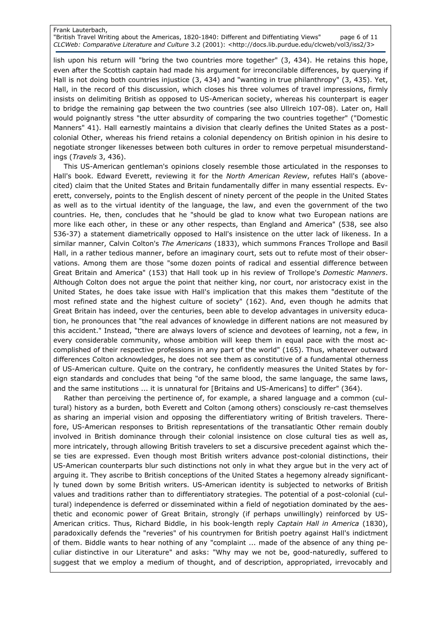### Frank Lauterbach, "British Travel Writing about the Americas, 1820-1840: Different and Diffentiating Views" page 6 of 11 CLCWeb: Comparative Literature and Culture 3.2 (2001): <http://docs.lib.purdue.edu/clcweb/vol3/iss2/3>

lish upon his return will "bring the two countries more together" (3, 434). He retains this hope, even after the Scottish captain had made his argument for irreconcilable differences, by querying if Hall is not doing both countries injustice (3, 434) and "wanting in true philanthropy" (3, 435). Yet, Hall, in the record of this discussion, which closes his three volumes of travel impressions, firmly insists on delimiting British as opposed to US-American society, whereas his counterpart is eager to bridge the remaining gap between the two countries (see also Ullreich 107-08). Later on, Hall would poignantly stress "the utter absurdity of comparing the two countries together" ("Domestic Manners" 41). Hall earnestly maintains a division that clearly defines the United States as a postcolonial Other, whereas his friend retains a colonial dependency on British opinion in his desire to negotiate stronger likenesses between both cultures in order to remove perpetual misunderstandings (Travels 3, 436).

This US-American gentleman's opinions closely resemble those articulated in the responses to Hall's book. Edward Everett, reviewing it for the North American Review, refutes Hall's (abovecited) claim that the United States and Britain fundamentally differ in many essential respects. Everett, conversely, points to the English descent of ninety percent of the people in the United States as well as to the virtual identity of the language, the law, and even the government of the two countries. He, then, concludes that he "should be glad to know what two European nations are more like each other, in these or any other respects, than England and America" (538, see also 536-37) a statement diametrically opposed to Hall's insistence on the utter lack of likeness. In a similar manner, Calvin Colton's The Americans (1833), which summons Frances Trollope and Basil Hall, in a rather tedious manner, before an imaginary court, sets out to refute most of their observations. Among them are those "some dozen points of radical and essential difference between Great Britain and America" (153) that Hall took up in his review of Trollope's Domestic Manners. Although Colton does not argue the point that neither king, nor court, nor aristocracy exist in the United States, he does take issue with Hall's implication that this makes them "destitute of the most refined state and the highest culture of society" (162). And, even though he admits that Great Britain has indeed, over the centuries, been able to develop advantages in university education, he pronounces that "the real advances of knowledge in different nations are not measured by this accident." Instead, "there are always lovers of science and devotees of learning, not a few, in every considerable community, whose ambition will keep them in equal pace with the most accomplished of their respective professions in any part of the world" (165). Thus, whatever outward differences Colton acknowledges, he does not see them as constitutive of a fundamental otherness of US-American culture. Quite on the contrary, he confidently measures the United States by foreign standards and concludes that being "of the same blood, the same language, the same laws, and the same institutions ... it is unnatural for [Britains and US-Americans] to differ" (364).

Rather than perceiving the pertinence of, for example, a shared language and a common (cultural) history as a burden, both Everett and Colton (among others) consciously re-cast themselves as sharing an imperial vision and opposing the differentiatory writing of British travelers. Therefore, US-American responses to British representations of the transatlantic Other remain doubly involved in British dominance through their colonial insistence on close cultural ties as well as, more intricately, through allowing British travelers to set a discursive precedent against which these ties are expressed. Even though most British writers advance post-colonial distinctions, their US-American counterparts blur such distinctions not only in what they argue but in the very act of arguing it. They ascribe to British conceptions of the United States a hegemony already significantly tuned down by some British writers. US-American identity is subjected to networks of British values and traditions rather than to differentiatory strategies. The potential of a post-colonial (cultural) independence is deferred or disseminated within a field of negotiation dominated by the aesthetic and economic power of Great Britain, strongly (if perhaps unwillingly) reinforced by US-American critics. Thus, Richard Biddle, in his book-length reply Captain Hall in America (1830), paradoxically defends the "reveries" of his countrymen for British poetry against Hall's indictment of them. Biddle wants to hear nothing of any "complaint ... made of the absence of any thing peculiar distinctive in our Literature" and asks: "Why may we not be, good-naturedly, suffered to suggest that we employ a medium of thought, and of description, appropriated, irrevocably and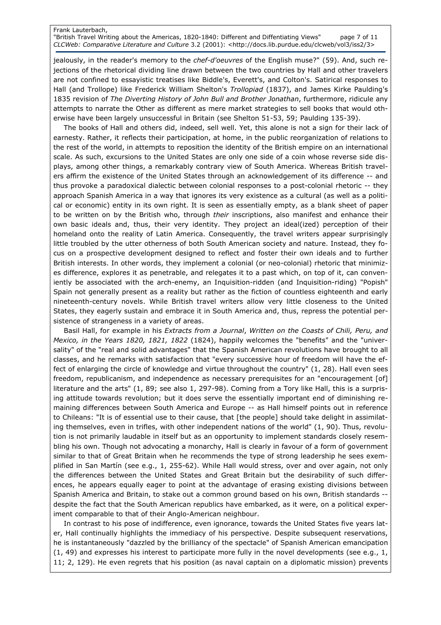### Frank Lauterbach, "British Travel Writing about the Americas, 1820-1840: Different and Diffentiating Views" page 7 of 11 CLCWeb: Comparative Literature and Culture 3.2 (2001): <http://docs.lib.purdue.edu/clcweb/vol3/iss2/3>

jealously, in the reader's memory to the chef-d'oeuvres of the English muse?" (59). And, such rejections of the rhetorical dividing line drawn between the two countries by Hall and other travelers are not confined to essayistic treatises like Biddle's, Everett's, and Colton's. Satirical responses to Hall (and Trollope) like Frederick William Shelton's Trollopiad (1837), and James Kirke Paulding's 1835 revision of The Diverting History of John Bull and Brother Jonathan, furthermore, ridicule any attempts to narrate the Other as different as mere market strategies to sell books that would otherwise have been largely unsuccessful in Britain (see Shelton 51-53, 59; Paulding 135-39).

The books of Hall and others did, indeed, sell well. Yet, this alone is not a sign for their lack of earnesty. Rather, it reflects their participation, at home, in the public reorganization of relations to the rest of the world, in attempts to reposition the identity of the British empire on an international scale. As such, excursions to the United States are only one side of a coin whose reverse side displays, among other things, a remarkably contrary view of South America. Whereas British travelers affirm the existence of the United States through an acknowledgement of its difference -- and thus provoke a paradoxical dialectic between colonial responses to a post-colonial rhetoric -- they approach Spanish America in a way that ignores its very existence as a cultural (as well as a political or economic) entity in its own right. It is seen as essentially empty, as a blank sheet of paper to be written on by the British who, through their inscriptions, also manifest and enhance their own basic ideals and, thus, their very identity. They project an ideal(ized) perception of their homeland onto the reality of Latin America. Consequently, the travel writers appear surprisingly little troubled by the utter otherness of both South American society and nature. Instead, they focus on a prospective development designed to reflect and foster their own ideals and to further British interests. In other words, they implement a colonial (or neo-colonial) rhetoric that minimizes difference, explores it as penetrable, and relegates it to a past which, on top of it, can conveniently be associated with the arch-enemy, an Inquisition-ridden (and Inquisition-riding) "Popish" Spain not generally present as a reality but rather as the fiction of countless eighteenth and early nineteenth-century novels. While British travel writers allow very little closeness to the United States, they eagerly sustain and embrace it in South America and, thus, repress the potential persistence of strangeness in a variety of areas.

Basil Hall, for example in his Extracts from a Journal, Written on the Coasts of Chili, Peru, and Mexico, in the Years 1820, 1821, 1822 (1824), happily welcomes the "benefits" and the "universality" of the "real and solid advantages" that the Spanish American revolutions have brought to all classes, and he remarks with satisfaction that "every successive hour of freedom will have the effect of enlarging the circle of knowledge and virtue throughout the country" (1, 28). Hall even sees freedom, republicanism, and independence as necessary prerequisites for an "encouragement [of] literature and the arts" (1, 89; see also 1, 297-98). Coming from a Tory like Hall, this is a surprising attitude towards revolution; but it does serve the essentially important end of diminishing remaining differences between South America and Europe -- as Hall himself points out in reference to Chileans: "It is of essential use to their cause, that [the people] should take delight in assimilating themselves, even in trifles, with other independent nations of the world" (1, 90). Thus, revolution is not primarily laudable in itself but as an opportunity to implement standards closely resembling his own. Though not advocating a monarchy, Hall is clearly in favour of a form of government similar to that of Great Britain when he recommends the type of strong leadership he sees exemplified in San Martín (see e.g., 1, 255-62). While Hall would stress, over and over again, not only the differences between the United States and Great Britain but the desirability of such differences, he appears equally eager to point at the advantage of erasing existing divisions between Spanish America and Britain, to stake out a common ground based on his own, British standards - despite the fact that the South American republics have embarked, as it were, on a political experiment comparable to that of their Anglo-American neighbour.

In contrast to his pose of indifference, even ignorance, towards the United States five years later, Hall continually highlights the immediacy of his perspective. Despite subsequent reservations, he is instantaneously "dazzled by the brilliancy of the spectacle" of Spanish American emancipation (1, 49) and expresses his interest to participate more fully in the novel developments (see e.g., 1, 11; 2, 129). He even regrets that his position (as naval captain on a diplomatic mission) prevents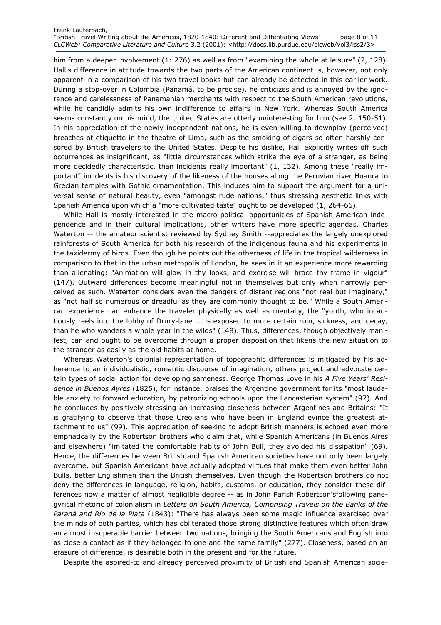## Frank Lauterbach, "British Travel Writing about the Americas, 1820-1840: Different and Diffentiating Views" page 8 of 11 CLCWeb: Comparative Literature and Culture 3.2 (2001): <http://docs.lib.purdue.edu/clcweb/vol3/iss2/3>

him from a deeper involvement (1: 276) as well as from "examining the whole at leisure" (2, 128). Hall's difference in attitude towards the two parts of the American continent is, however, not only apparent in a comparison of his two travel books but can already be detected in this earlier work. During a stop-over in Colombia (Panamá, to be precise), he criticizes and is annoyed by the ignorance and carelessness of Panamanian merchants with respect to the South American revolutions, while he candidly admits his own indifference to affairs in New York. Whereas South America seems constantly on his mind, the United States are utterly uninteresting for him (see 2, 150-51). In his appreciation of the newly independent nations, he is even willing to downplay (perceived) breaches of etiquette in the theatre of Lima, such as the smoking of cigars so often harshly censored by British travelers to the United States. Despite his dislike, Hall explicitly writes off such occurrences as insignificant, as "little circumstances which strike the eye of a stranger, as being more decidedly characteristic, than incidents really important" (1, 132). Among these "really important" incidents is his discovery of the likeness of the houses along the Peruvian river Huaura to Grecian temples with Gothic ornamentation. This induces him to support the argument for a universal sense of natural beauty, even "amongst rude nations," thus stressing aesthetic links with Spanish America upon which a "more cultivated taste" ought to be developed (1, 264-66).

While Hall is mostly interested in the macro-political opportunities of Spanish American independence and in their cultural implications, other writers have more specific agendas. Charles Waterton -- the amateur scientist reviewed by Sydney Smith --appreciates the largely unexplored rainforests of South America for both his research of the indigenous fauna and his experiments in the taxidermy of birds. Even though he points out the otherness of life in the tropical wilderness in comparison to that in the urban metropolis of London, he sees in it an experience more rewarding than alienating: "Animation will glow in thy looks, and exercise will brace thy frame in vigour" (147). Outward differences become meaningful not in themselves but only when narrowly perceived as such. Waterton considers even the dangers of distant regions "not real but imaginary," as "not half so numerous or dreadful as they are commonly thought to be." While a South American experience can enhance the traveler physically as well as mentally, the "youth, who incautiously reels into the lobby of Drury-lane ... is exposed to more certain ruin, sickness, and decay, than he who wanders a whole year in the wilds" (148). Thus, differences, though objectively manifest, can and ought to be overcome through a proper disposition that likens the new situation to the stranger as easily as the old habits at home.

Whereas Waterton's colonial representation of topographic differences is mitigated by his adherence to an individualistic, romantic discourse of imagination, others project and advocate certain types of social action for developing sameness. George Thomas Love in his A Five Years' Residence in Buenos Ayres (1825), for instance, praises the Argentine government for its "most laudable anxiety to forward education, by patronizing schools upon the Lancasterian system" (97). And he concludes by positively stressing an increasing closeness between Argentines and Britains: "It is gratifying to observe that those Creolians who have been in England evince the greatest attachment to us" (99). This appreciation of seeking to adopt British manners is echoed even more emphatically by the Robertson brothers who claim that, while Spanish Americans (in Buenos Aires and elsewhere) "imitated the comfortable habits of John Bull, they avoided his dissipation" (69). Hence, the differences between British and Spanish American societies have not only been largely overcome, but Spanish Americans have actually adopted virtues that make them even better John Bulls, better Englishmen than the British themselves. Even though the Robertson brothers do not deny the differences in language, religion, habits, customs, or education, they consider these differences now a matter of almost negligible degree -- as in John Parish Robertson'sfollowing panegyrical rhetoric of colonialism in Letters on South America, Comprising Travels on the Banks of the Paraná and Río de la Plata (1843): "There has always been some magic influence exercised over the minds of both parties, which has obliterated those strong distinctive features which often draw an almost insuperable barrier between two nations, bringing the South Americans and English into as close a contact as if they belonged to one and the same family" (277). Closeness, based on an erasure of difference, is desirable both in the present and for the future.

Despite the aspired-to and already perceived proximity of British and Spanish American socie-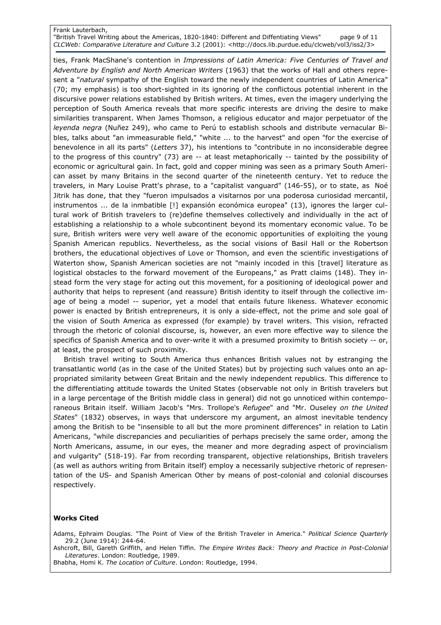## Frank Lauterbach, "British Travel Writing about the Americas, 1820-1840: Different and Diffentiating Views" page 9 of 11 CLCWeb: Comparative Literature and Culture 3.2 (2001): <http://docs.lib.purdue.edu/clcweb/vol3/iss2/3>

ties, Frank MacShane's contention in Impressions of Latin America: Five Centuries of Travel and Adventure by English and North American Writers (1963) that the works of Hall and others represent a "natural sympathy of the English toward the newly independent countries of Latin America" (70; my emphasis) is too short-sighted in its ignoring of the conflictous potential inherent in the discursive power relations established by British writers. At times, even the imagery underlying the perception of South America reveals that more specific interests are driving the desire to make similarities transparent. When James Thomson, a religious educator and major perpetuator of the leyenda negra (Nuñez 249), who came to Perú to establish schools and distribute vernacular Bibles, talks about "an immeasurable field," "white ... to the harvest" and open "for the exercise of benevolence in all its parts" (Letters 37), his intentions to "contribute in no inconsiderable degree to the progress of this country" (73) are -- at least metaphorically -- tainted by the possibility of economic or agricultural gain. In fact, gold and copper mining was seen as a primary South American asset by many Britains in the second quarter of the nineteenth century. Yet to reduce the travelers, in Mary Louise Pratt's phrase, to a "capitalist vanguard" (146-55), or to state, as Noé Jitrik has done, that they "fueron impulsados a visitarnos por una poderosa curiosidad mercantil, instrumentos ... de la inmbatible [!] expansión económica europea" (13), ignores the larger cultural work of British travelers to (re)define themselves collectively and individually in the act of establishing a relationship to a whole subcontinent beyond its momentary economic value. To be sure, British writers were very well aware of the economic opportunities of exploiting the young Spanish American republics. Nevertheless, as the social visions of Basil Hall or the Robertson brothers, the educational objectives of Love or Thomson, and even the scientific investigations of Waterton show, Spanish American societies are not "mainly incoded in this [travel] literature as logistical obstacles to the forward movement of the Europeans," as Pratt claims (148). They instead form the very stage for acting out this movement, for a positioning of ideological power and authority that helps to represent (and reassure) British identity to itself through the collective image of being a model -- superior, yet a model that entails future likeness. Whatever economic power is enacted by British entrepreneurs, it is only a side-effect, not the prime and sole goal of the vision of South America as expressed (for example) by travel writers. This vision, refracted through the rhetoric of colonial discourse, is, however, an even more effective way to silence the specifics of Spanish America and to over-write it with a presumed proximity to British society -- or, at least, the prospect of such proximity.

British travel writing to South America thus enhances British values not by estranging the transatlantic world (as in the case of the United States) but by projecting such values onto an appropriated similarity between Great Britain and the newly independent republics. This difference to the differentiating attitude towards the United States (observable not only in British travelers but in a large percentage of the British middle class in general) did not go unnoticed within contemporaneous Britain itself. William Jacob's "Mrs. Trollope's Refugee" and "Mr. Ouseley on the United States" (1832) observes, in ways that underscore my argument, an almost inevitable tendency among the British to be "insensible to all but the more prominent differences" in relation to Latin Americans, "while discrepancies and peculiarities of perhaps precisely the same order, among the North Americans, assume, in our eyes, the meaner and more degrading aspect of provincialism and vulgarity" (518-19). Far from recording transparent, objective relationships, British travelers (as well as authors writing from Britain itself) employ a necessarily subjective rhetoric of representation of the US- and Spanish American Other by means of post-colonial and colonial discourses respectively.

## Works Cited

Adams, Ephraim Douglas. "The Point of View of the British Traveler in America." Political Science Quarterly 29.2 (June 1914): 244-64.

Ashcroft, Bill, Gareth Griffith, and Helen Tiffin. The Empire Writes Back: Theory and Practice in Post-Colonial Literatures. London: Routledge, 1989.

Bhabha, Homi K. The Location of Culture. London: Routledge, 1994.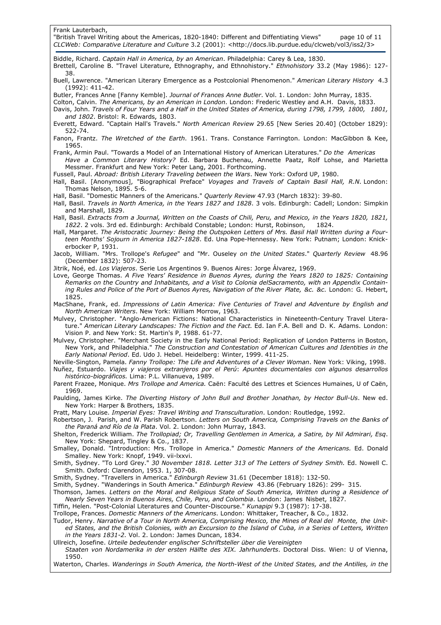| "British Travel Writing about the Americas, 1820-1840: Different and Diffentiating Views"<br>page 10 of 11<br>CLCWeb: Comparative Literature and Culture 3.2 (2001): <http: 3="" clcweb="" docs.lib.purdue.edu="" iss2="" vol3=""></http:>                                                                                                                                                                                              |
|-----------------------------------------------------------------------------------------------------------------------------------------------------------------------------------------------------------------------------------------------------------------------------------------------------------------------------------------------------------------------------------------------------------------------------------------|
| Biddle, Richard. Captain Hall in America, by an American. Philadelphia: Carey & Lea, 1830.<br>Brettell, Caroline B. "Travel Literature, Ethnography, and Ethnohistory." Ethnohistory 33.2 (May 1986): 127-<br>38.                                                                                                                                                                                                                       |
| Buell, Lawrence. "American Literary Emergence as a Postcolonial Phenomenon." American Literary History 4.3<br>$(1992): 411-42.$                                                                                                                                                                                                                                                                                                         |
| Butler, Frances Anne [Fanny Kemble]. Journal of Frances Anne Butler. Vol. 1. London: John Murray, 1835.<br>Colton, Calvin. The Americans, by an American in London. London: Frederic Westley and A.H. Davis, 1833.<br>Davis, John. Travels of Four Years and a Half in the United States of America, during 1798, 1799, 1800, 1801,<br>and 1802. Bristol: R. Edwards, 1803.                                                             |
| Everett, Edward. "Captain Hall's Travels." North American Review 29.65 [New Series 20.40] (October 1829):<br>522-74.                                                                                                                                                                                                                                                                                                                    |
| Fanon, Frantz. The Wretched of the Earth. 1961. Trans. Constance Farrington. London: MacGibbon & Kee,<br>1965.                                                                                                                                                                                                                                                                                                                          |
| Frank, Armin Paul. "Towards a Model of an International History of American Literatures." Do the Americas<br>Have a Common Literary History? Ed. Barbara Buchenau, Annette Paatz, Rolf Lohse, and Marietta<br>Messmer. Frankfurt and New York: Peter Lang, 2001. Forthcoming.                                                                                                                                                           |
| Fussell, Paul. Abroad: British Literary Traveling between the Wars. New York: Oxford UP, 1980.<br>Hall, Basil. [Anonymous], "Biographical Preface" Voyages and Travels of Captain Basil Hall, R.N. London:<br>Thomas Nelson, 1895. 5-6.                                                                                                                                                                                                 |
| Hall, Basil. "Domestic Manners of the Americans." <i>Quarterly Review</i> 47.93 (March 1832): 39-80.<br>Hall, Basil. Travels in North America, in the Years 1827 and 1828. 3 vols. Edinburgh: Cadell; London: Simpkin<br>and Marshall, 1829.                                                                                                                                                                                            |
| Hall, Basil. Extracts from a Journal, Written on the Coasts of Chili, Peru, and Mexico, in the Years 1820, 1821,<br>1822. 2 vols. 3rd ed. Edinburgh: Archibald Constable; London: Hurst, Robinson,<br>1824.                                                                                                                                                                                                                             |
| Hall, Margaret. The Aristocratic Journey: Being the Outspoken Letters of Mrs. Basil Hall Written during a Four-<br>teen Months' Sojourn in America 1827-1828. Ed. Una Pope-Hennessy. New York: Putnam; London: Knick-<br>erbocker P, 1931.                                                                                                                                                                                              |
| Jacob, William. "Mrs. Trollope's Refugee" and "Mr. Ouseley on the United States." Quarterly Review 48.96<br>(December 1832): 507-23.                                                                                                                                                                                                                                                                                                    |
| Jitrik, Noé, ed. Los Viajeros. Serie Los Argentinos 9. Buenos Aires: Jorge Álvarez, 1969.<br>Love, George Thomas. A Five Years' Residence in Buenos Ayres, during the Years 1820 to 1825: Containing<br>Remarks on the Country and Inhabitants, and a Visit to Colonia delSacramento, with an Appendix Contain-<br>ing Rules and Police of the Port of Buenos Ayres, Navigation of the River Plate, &c. &c. London: G. Hebert,<br>1825. |
| MacShane, Frank, ed. Impressions of Latin America: Five Centuries of Travel and Adventure by English and<br>North American Writers. New York: William Morrow, 1963.                                                                                                                                                                                                                                                                     |

Mulvey, Christopher. "Anglo-American Fictions: National Characteristics in Nineteenth-Century Travel Literature." American Literary Landscapes: The Fiction and the Fact. Ed. Ian F.A. Bell and D. K. Adams. London: Vision P. and New York: St. Martin's P, 1988. 61-77.

Mulvey, Christopher. "Merchant Society in the Early National Period: Replication of London Patterns in Boston, New York, and Philadelphia." The Construction and Contestation of American Cultures and Identities in the Early National Period. Ed. Udo J. Hebel. Heidelberg: Winter, 1999. 411-25.

Neville-Sington, Pamela. Fanny Trollope: The Life and Adventures of a Clever Woman. New York: Viking, 1998. Nuñez, Estuardo. Viajes y viajeros extranjeros por el Perú: Apuntes documentales con algunos desarrollos histórico-biográficos. Lima: P.L. Villanueva, 1989.

- Parent Frazee, Monique. Mrs Trollope and America. Caën: Faculté des Lettres et Sciences Humaines, U of Caën, 1969.
- Paulding, James Kirke. The Diverting History of John Bull and Brother Jonathan, by Hector Bull-Us. New ed. New York: Harper & Brothers, 1835.
- Pratt, Mary Louise. Imperial Eyes: Travel Writing and Transculturation. London: Routledge, 1992.

Robertson, J. Parish, and W. Parish Robertson. Letters on South America, Comprising Travels on the Banks of the Paraná and Río de la Plata. Vol. 2. London: John Murray, 1843.

Shelton, Frederick William. The Trollopiad; Or, Travelling Gentlemen in America, a Satire, by Nil Admirari, Esq. New York: Shepard, Tingley & Co., 1837.

Smalley, Donald. "Introduction: Mrs. Trollope in America." Domestic Manners of the Americans. Ed. Donald Smalley. New York: Knopf, 1949. vii-lxxvi.

Smith, Sydney. "To Lord Grey." 30 November 1818. Letter 313 of The Letters of Sydney Smith. Ed. Nowell C. Smith. Oxford: Clarendon, 1953. 1, 307-08.

Smith, Sydney. "Travellers in America." Edinburgh Review 31.61 (December 1818): 132-50.

Smith, Sydney. "Wanderings in South America." Edinburgh Review 43.86 (February 1826): 299- 315. Thomson, James. Letters on the Moral and Religious State of South America, Written during a Residence of Nearly Seven Years in Buenos Aires, Chile, Peru, and Colombia. London: James Nisbet, 1827.

Tiffin, Helen. "Post-Colonial Literatures and Counter-Discourse." Kunapipi 9.3 (1987): 17-38.

Trollope, Frances. Domestic Manners of the Americans. London: Whittaker, Treacher, & Co., 1832.

Tudor, Henry. Narrative of a Tour in North America, Comprising Mexico, the Mines of Real del Monte, the Unit-

ed States, and the British Colonies, with an Excursion to the Island of Cuba, in a Series of Letters, Written in the Years 1831-2. Vol. 2. London: James Duncan, 1834.

Ullreich, Josefine. Urteile bedeutender englischer Schriftsteller über die Vereinigten

 Staaten von Nordamerika in der ersten Hälfte des XIX. Jahrhunderts. Doctoral Diss. Wien: U of Vienna, 1950.

Waterton, Charles. Wanderings in South America, the North-West of the United States, and the Antilles, in the